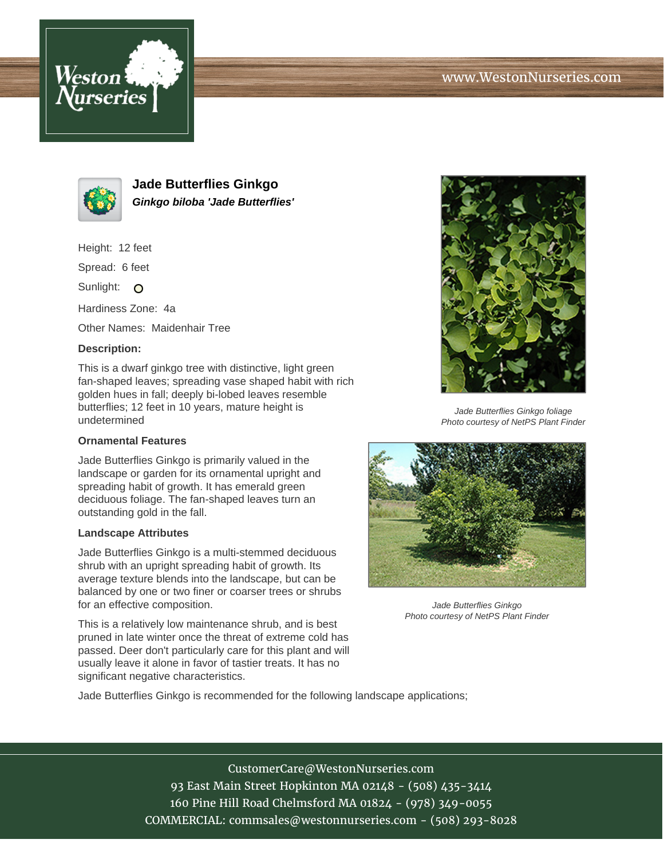# www.WestonNurseries.com





**Jade Butterflies Ginkgo Ginkgo biloba 'Jade Butterflies'**

Height: 12 feet

Spread: 6 feet

Sunlight: O

Hardiness Zone: 4a

Other Names: Maidenhair Tree

### **Description:**

This is a dwarf ginkgo tree with distinctive, light green fan-shaped leaves; spreading vase shaped habit with rich golden hues in fall; deeply bi-lobed leaves resemble butterflies; 12 feet in 10 years, mature height is undetermined

#### **Ornamental Features**

Jade Butterflies Ginkgo is primarily valued in the landscape or garden for its ornamental upright and spreading habit of growth. It has emerald green deciduous foliage. The fan-shaped leaves turn an outstanding gold in the fall.

#### **Landscape Attributes**

Jade Butterflies Ginkgo is a multi-stemmed deciduous shrub with an upright spreading habit of growth. Its average texture blends into the landscape, but can be balanced by one or two finer or coarser trees or shrubs for an effective composition.

This is a relatively low maintenance shrub, and is best pruned in late winter once the threat of extreme cold has passed. Deer don't particularly care for this plant and will usually leave it alone in favor of tastier treats. It has no significant negative characteristics.



Jade Butterflies Ginkgo foliage Photo courtesy of NetPS Plant Finder



Jade Butterflies Ginkgo Photo courtesy of NetPS Plant Finder

Jade Butterflies Ginkgo is recommended for the following landscape applications;

## CustomerCare@WestonNurseries.com

93 East Main Street Hopkinton MA 02148 - (508) 435-3414 160 Pine Hill Road Chelmsford MA 01824 - (978) 349-0055 COMMERCIAL: commsales@westonnurseries.com - (508) 293-8028